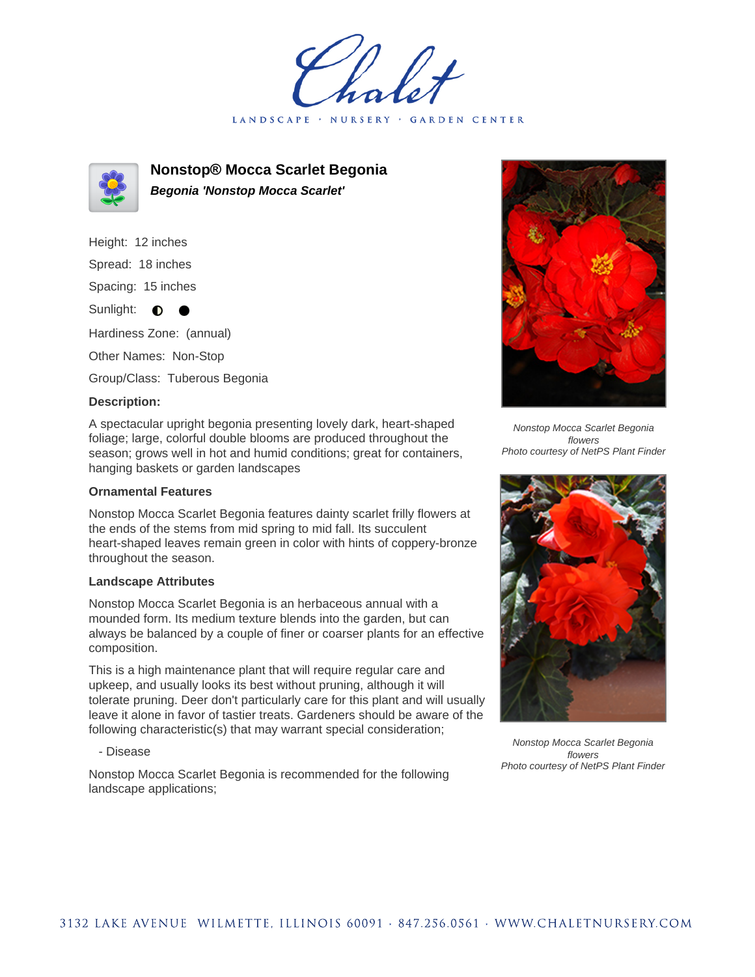LANDSCAPE · NURSERY **GARDEN CENTER** 



**Nonstop® Mocca Scarlet Begonia Begonia 'Nonstop Mocca Scarlet'**

Height: 12 inches Spread: 18 inches Spacing: 15 inches Sunlight:  $\bullet$  $\bullet$ Hardiness Zone: (annual) Other Names: Non-Stop Group/Class: Tuberous Begonia

## **Description:**

A spectacular upright begonia presenting lovely dark, heart-shaped foliage; large, colorful double blooms are produced throughout the season; grows well in hot and humid conditions; great for containers, hanging baskets or garden landscapes

## **Ornamental Features**

Nonstop Mocca Scarlet Begonia features dainty scarlet frilly flowers at the ends of the stems from mid spring to mid fall. Its succulent heart-shaped leaves remain green in color with hints of coppery-bronze throughout the season.

## **Landscape Attributes**

Nonstop Mocca Scarlet Begonia is an herbaceous annual with a mounded form. Its medium texture blends into the garden, but can always be balanced by a couple of finer or coarser plants for an effective composition.

This is a high maintenance plant that will require regular care and upkeep, and usually looks its best without pruning, although it will tolerate pruning. Deer don't particularly care for this plant and will usually leave it alone in favor of tastier treats. Gardeners should be aware of the following characteristic(s) that may warrant special consideration;

- Disease

Nonstop Mocca Scarlet Begonia is recommended for the following landscape applications;



Nonstop Mocca Scarlet Begonia flowers Photo courtesy of NetPS Plant Finder



Nonstop Mocca Scarlet Begonia flowers Photo courtesy of NetPS Plant Finder